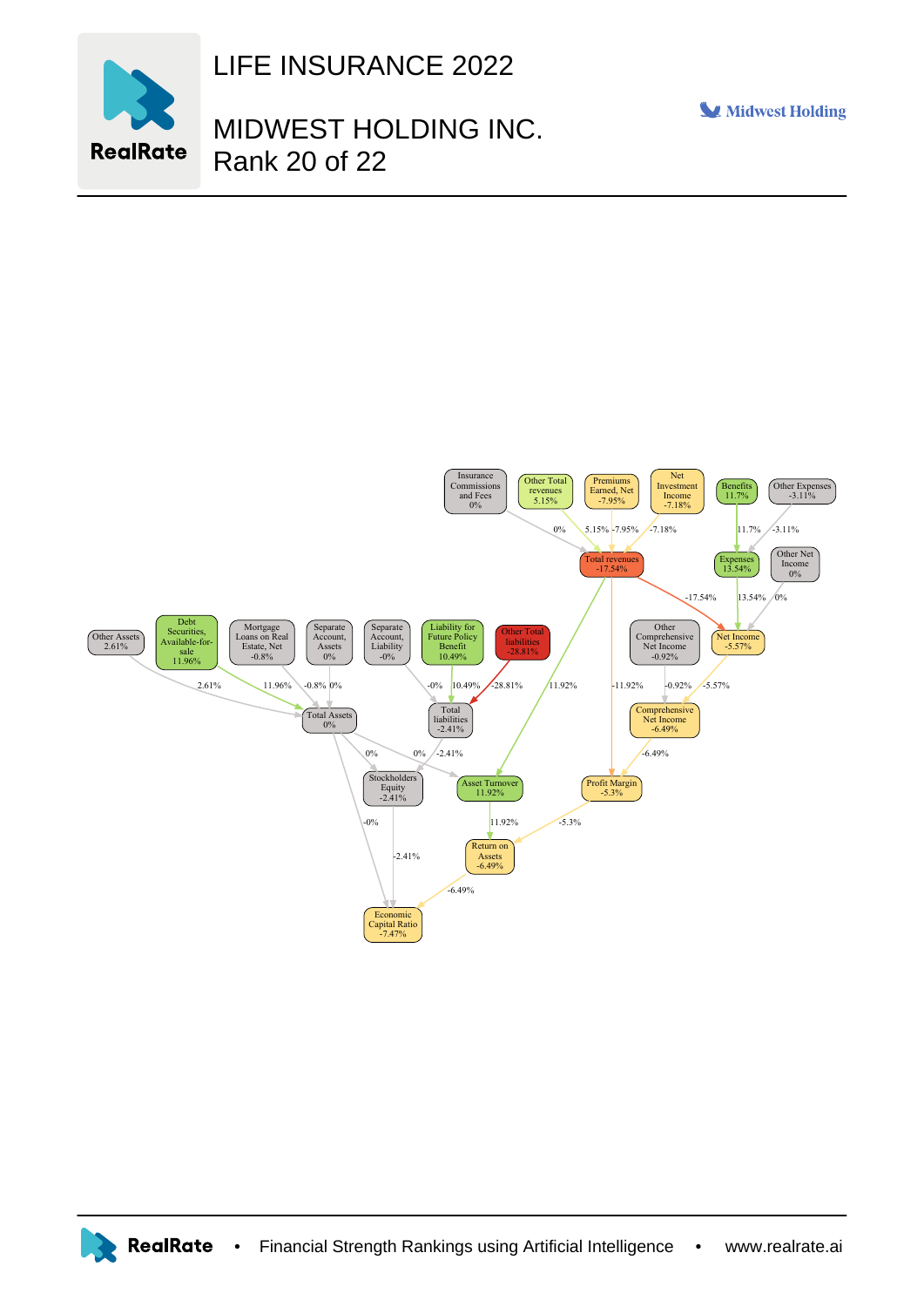

LIFE INSURANCE 2022

## MIDWEST HOLDING INC. Rank 20 of 22

Midwest Holding